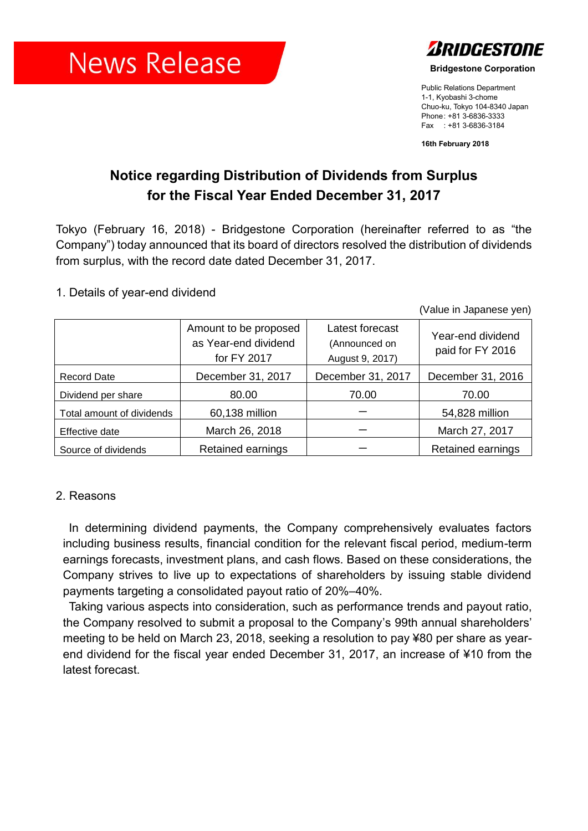# **News Release**



**Bridgestone Corporation**

Public Relations Department 1-1, Kyobashi 3-chome Chuo-ku, Tokyo 104-8340 Japan Phone: +81 3-6836-3333 Fax : +81 3-6836-3184

**16th February 2018**

## **Notice regarding Distribution of Dividends from Surplus for the Fiscal Year Ended December 31, 2017**

Tokyo (February 16, 2018) - Bridgestone Corporation (hereinafter referred to as "the Company") today announced that its board of directors resolved the distribution of dividends from surplus, with the record date dated December 31, 2017.

#### 1. Details of year-end dividend

(Value in Japanese yen)

|                           | Amount to be proposed<br>as Year-end dividend<br>for FY 2017 | Latest forecast<br>(Announced on<br>August 9, 2017) | Year-end dividend<br>paid for FY 2016 |
|---------------------------|--------------------------------------------------------------|-----------------------------------------------------|---------------------------------------|
| <b>Record Date</b>        | December 31, 2017                                            | December 31, 2017                                   | December 31, 2016                     |
| Dividend per share        | 80.00                                                        | 70.00                                               | 70.00                                 |
| Total amount of dividends | 60,138 million                                               |                                                     | 54,828 million                        |
| Effective date            | March 26, 2018                                               |                                                     | March 27, 2017                        |
| Source of dividends       | Retained earnings                                            |                                                     | <b>Retained earnings</b>              |

### 2. Reasons

In determining dividend payments, the Company comprehensively evaluates factors including business results, financial condition for the relevant fiscal period, medium-term earnings forecasts, investment plans, and cash flows. Based on these considerations, the Company strives to live up to expectations of shareholders by issuing stable dividend payments targeting a consolidated payout ratio of 20%–40%.

Taking various aspects into consideration, such as performance trends and payout ratio, the Company resolved to submit a proposal to the Company's 99th annual shareholders' meeting to be held on March 23, 2018, seeking a resolution to pay ¥80 per share as yearend dividend for the fiscal year ended December 31, 2017, an increase of ¥10 from the latest forecast.